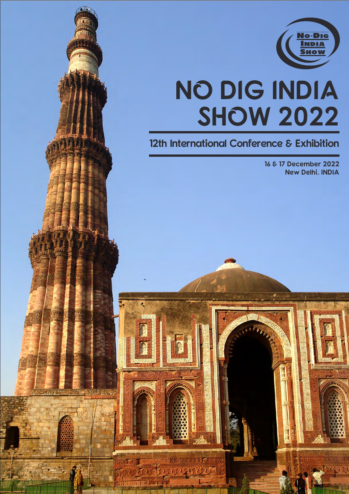

# **NO DIG INDIA SHOW 2022**

### <u>The measurement complete</u> 12th International Conference & Exhibition

New Delhi, INDIA 16 & 17 December 2022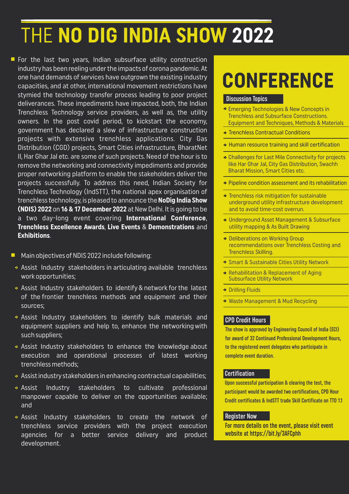## THE **NO DIG INDIA SHOW 2022**

For the last two years, Indian subsurface utility construction industry has been reeling under the impacts of corona pandemic. At one hand demands of services have outgrown the existing industry capacities, and at other, international movement restrictions have stymied the technology transfer process leading to poor project deliverances. These impediments have impacted, both, the Indian Trenchless Technology service providers, as well as, the utility owners. In the post covid period, to kickstart the economy, government has declared a slew of infrastructure construction projects with extensive trenchless applications. City Gas Distribution (CGD) projects, Smart Cities infrastructure, BharatNet II, Har Ghar Jal etc. are some of such projects. Need of the hour is to remove the networking and connectivity impediments and provide proper networking platform to enable the stakeholders deliver the projects successfully. To address this need, Indian Society for Trenchless Technology (IndSTT), the national apex organisation of trenchless technology, is pleased to announce the **NoDig India Show (NDIS) 2022** on **16 & 17 December 2022** at New Delhi. It is going to be a two day-long event covering **International Conference**, **Trenchless Excellence Awards**, **Live Events** & **Demonstrations** and **Exhibitions**.

- n Main objectives of NDIS 2022 include following:
- Assist Industry stakeholders in articulating available trenchless work opportunities;
- Assist Industry stakeholders to identify & network for the latest of the frontier trenchless methods and equipment and their sources;
- Assist Industry stakeholders to identify bulk materials and equipment suppliers and help to, enhance the networking with such suppliers;
- Assist Industry stakeholders to enhance the knowledge about execution and operational processes of latest working trenchless methods;
- Assist industry stakeholders in enhancing contractual capabilities;
- Assist Industry stakeholders to cultivate professional manpower capable to deliver on the opportunities available; and
- Assist Industry stakeholders to create the network of trenchless service providers with the project execution agencies for a better service delivery and product development.

## **CONFERENCE**

#### Discussion Topics

- Emerging Technologies & New Concepts in Trenchless and Subsurface Constructions. Equipment and Techniques, Methods & Materials
- ◆ Trenchless Contractual Conditions
- Human resource training and skill certification
- Challenges for Last Mile Connectivity for projects like Har Ghar Jal, City Gas Distribution, Swachh Bharat Mission, Smart Cities etc.
- Pipeline condition assessment and its rehabilitation
- **Trenchless risk mitigation for sustainable** underground utility infrastructure development and to avoid time-cost overrun.
- Underground Asset Management & Subsurface utility mapping & As Built Drawing
- ◆ Deliberations on Working Group recommendations over Trenchless Costing and Trenchless Skilling.
- **Smart & Sustainable Cities Utility Network**
- Rehabilitation & Replacement of Aging Subsurface Utility Network
- ◆ Drilling Fluids
- Waste Management & Mud Recycling

#### CPD Credit Hours

The show is approved by Engineering Council of India (ECI) for award of 32 Continued Professional Development Hours, to the registered event delegates who participate in complete event duration.

#### **Certification**

Upon successful participation & clearing the test, the participant would be awarded two certifications, CPD Hour Credit certificates & IndSTT trade Skill Certificate on TTO 1.1

#### Register Now

For more details on the event, please visit event website at https://bit.ly/3AFCphh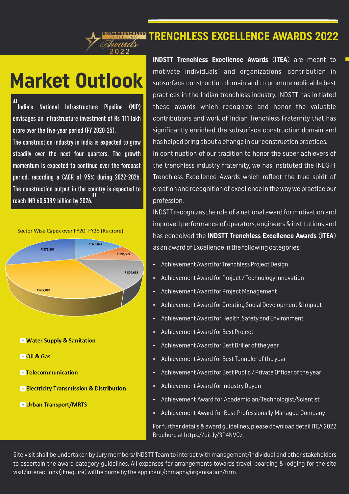#### **TRENCHLESS EXCELLENCE AWARDS 2022**

### **Market Outlook**

" India's National Infrastructure Pipeline (NIP) envisages an infrastructure investment of Rs 111 lakh crore over the five-year period (FY 2020-25).

The construction industry in India is expected to grow steadily over the next four quarters. The growth momentum is expected to continue over the forecast period, recording a CAGR of 9.5% during 2022-2026. The construction output in the country is expected to reach INR 60,508.9 billion by 2026. <u>וו</u><br>'



- **E** Water Supply & Sanitation
- **DOIL & Gas**
- Telecommunication
- **Electricity Transmission & Distribution**
- **Urban Transport/MRTS**

**INDSTT Trenchless Excellence Awards** (**ITEA**) are meant to <sup>n</sup> motivate individuals' and organizations' contribution in subsurface construction domain and to promote replicable best practices in the Indian trenchless industry. INDSTT has initiated these awards which recognize and honor the valuable contributions and work of Indian Trenchless Fraternity that has significantly enriched the subsurface construction domain and has helped bring about a change in our construction practices. In continuation of our tradition to honor the super achievers of the trenchless industry fraternity, we has instituted the INDSTT Trenchless Excellence Awards which reflect the true spirit of creation and recognition of excellence in the way we practice our profession.

INDSTT recognizes the role of a national award for motivation and improved performance of operators, engineers & institutions and has conceived the **INDSTT Trenchless Excellence Awards** (**ITEA**) as an award of Excellence in the following categories:

- Achievement Award for Trenchless Project Design
- Achievement Award for Project / Technology Innovation
- Achievement Award for Project Management
- Achievement Award for Creating Social Development & Impact
- Achievement Award for Health, Safety and Environment
- Achievement Award for Best Project
- Achievement Award for Best Driller of the year
- Achievement Award for Best Tunneler of the year
- Achievement Award for Best Public / Private Officer of the year
- Achievement Award for Industry Doyen
- Achievement Award for Academician/Technologist/Scientist
- Achievement Award for Best Professionally Managed Company

For further details & award guidelines, please download detail ITEA 2022 Brochure at https://bit.ly/3P4NVGz.

Site visit shall be undertaken by Jury members/INDSTT Team to interact with management/individual and other stakeholders to ascertain the award category guidelines. All expenses for arrangements towards travel, boarding & lodging for the site visit/interactions (if require) will be borne by the applicant/comapny/organisation/firm.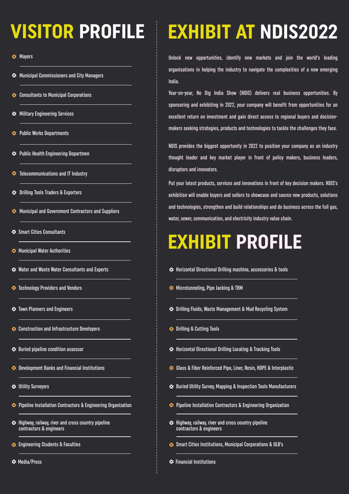## **VISITOR PROFILE**

**X** Mayors

- **XX** Municipal Commissioners and City Managers
- **Consultants to Municipal Corporations**
- **X:** Military Engineering Services
- **X** Public Works Departments
- **X** Public Health Engineering Departmen
- **X** Telecommunications and IT Industry
- **X** Drilling Tools Traders & Exporters
- **X** Municipal and Government Contractors and Suppliers
- Smart Cities Consultants
- **X** Municipal Water Authorities
- Water and Waste Water Consultants and Experts
- **X** Technology Providers and Vendors
- **X** Town Planners and Engineers
- **X** Construction and Infrastructure Developers
- Buried pipeline condition assessor
- **X** Development Banks and Financial Institutions
- Utility Surveyors
- Pipeline Installation Contractors & Engineering Organization
- **\*** Highway, railway, river and cross country pipeline contractors & engineers
- **Engineering Students & Faculties**
- **X** Media/Press

### **EXHIBIT AT NDIS2022**

Unlock new opportunities, identify new markets and join the world's leading organisations in helping the industry to navigate the complexities of a new emerging India.

Year-on-year, No Dig India Show (NDIS) delivers real business opportunities. By sponsoring and exhibiting in 2022, your company will benefit from opportunities for an excellent return on investment and gain direct access to regional buyers and decisionmakers seeking strategies, products and technologies to tackle the challenges they face.

NDIS provides the biggest opportunity in 2022 to position your company as an industry thought leader and key market player in front of policy makers, business leaders, disruptors and innovators.

Put your latest products, services and innovations in front of key decision makers. NDIS's exhibition will enable buyers and sellers to showcase and source new products, solutions and technologies, strengthen and build relationships and do business across the full gas, water, sewer, communication, and electricity industry value chain.

### **EXHIBIT PROFILE**

- **\*** Horizontal Directional Drilling machine, accessories & tools
- **X** Microtunneling, Pipe Jacking & TBM
- **X** Drilling Fluids, Waste Management & Mud Recycling System
- **X** Drilling & Cutting Tools
- **X** Horizontal Directional Drilling Locating & Tracking Tools
- Glass & Fiber Reinforced Pipe, Liner, Resin, HDPE & Interplastic
- Buried Utility Survey, Mapping & Inspection Tools Manufacturers
- Pipeline Installation Contractors & Engineering Organization
- **\*** Highway, railway, river and cross country pipeline contractors & engineers
- Smart Cities Institutions, Municipal Corporations & ULB's
- **X** Financial Institutions